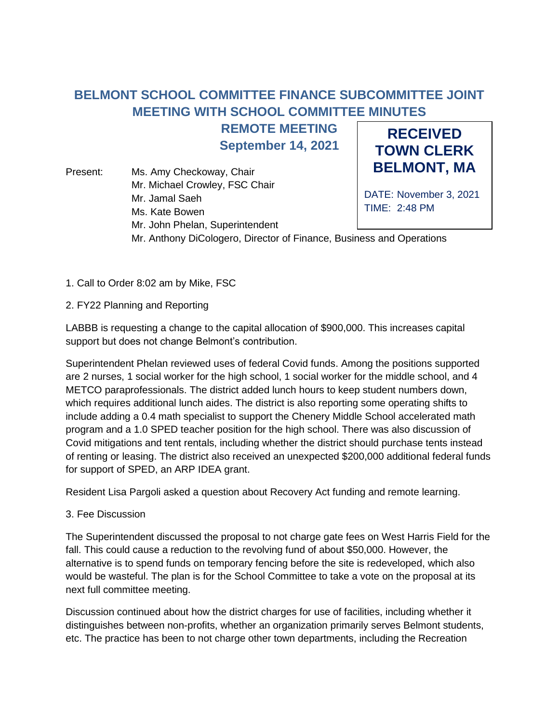## **BELMONT SCHOOL COMMITTEE FINANCE SUBCOMMITTEE JOINT MEETING WITH SCHOOL COMMITTEE MINUTES**

**REMOTE MEETING**

**September 14, 2021**

Present: Ms. Amy Checkoway, Chair Mr. Michael Crowley, FSC Chair Mr. Jamal Saeh Ms. Kate Bowen Mr. John Phelan, Superintendent

**RECEIVED TOWN CLERK BELMONT, MA**

DATE: November 3, 2021 TIME: 2:48 PM

Mr. Anthony DiCologero, Director of Finance, Business and Operations

- 1. Call to Order 8:02 am by Mike, FSC
- 2. FY22 Planning and Reporting

LABBB is requesting a change to the capital allocation of \$900,000. This increases capital support but does not change Belmont's contribution.

Superintendent Phelan reviewed uses of federal Covid funds. Among the positions supported are 2 nurses, 1 social worker for the high school, 1 social worker for the middle school, and 4 METCO paraprofessionals. The district added lunch hours to keep student numbers down, which requires additional lunch aides. The district is also reporting some operating shifts to include adding a 0.4 math specialist to support the Chenery Middle School accelerated math program and a 1.0 SPED teacher position for the high school. There was also discussion of Covid mitigations and tent rentals, including whether the district should purchase tents instead of renting or leasing. The district also received an unexpected \$200,000 additional federal funds for support of SPED, an ARP IDEA grant.

Resident Lisa Pargoli asked a question about Recovery Act funding and remote learning.

3. Fee Discussion

The Superintendent discussed the proposal to not charge gate fees on West Harris Field for the fall. This could cause a reduction to the revolving fund of about \$50,000. However, the alternative is to spend funds on temporary fencing before the site is redeveloped, which also would be wasteful. The plan is for the School Committee to take a vote on the proposal at its next full committee meeting.

Discussion continued about how the district charges for use of facilities, including whether it distinguishes between non-profits, whether an organization primarily serves Belmont students, etc. The practice has been to not charge other town departments, including the Recreation